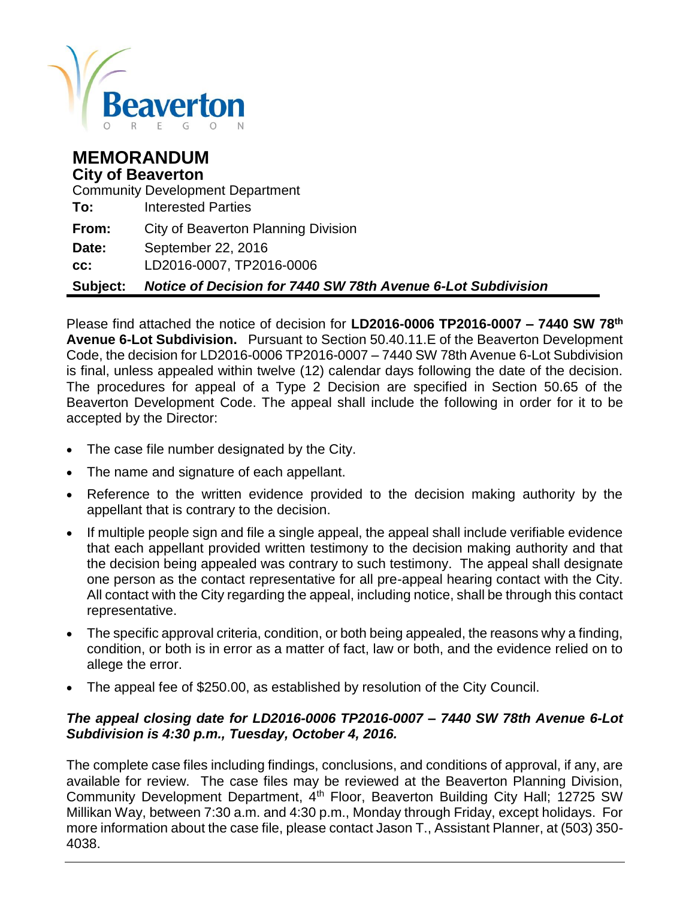

# **MEMORANDUM City of Beaverton** Community Development Department **To:** Interested Parties **From:** City of Beaverton Planning Division **Date:** September 22, 2016 **cc:** LD2016-0007, TP2016-0006 **Subject:** *Notice of Decision for 7440 SW 78th Avenue 6-Lot Subdivision*

Please find attached the notice of decision for **LD2016-0006 TP2016-0007 – 7440 SW 78th Avenue 6-Lot Subdivision.** Pursuant to Section 50.40.11.E of the Beaverton Development Code, the decision for LD2016-0006 TP2016-0007 – 7440 SW 78th Avenue 6-Lot Subdivision is final, unless appealed within twelve (12) calendar days following the date of the decision. The procedures for appeal of a Type 2 Decision are specified in Section 50.65 of the Beaverton Development Code. The appeal shall include the following in order for it to be accepted by the Director:

- The case file number designated by the City.
- The name and signature of each appellant.
- Reference to the written evidence provided to the decision making authority by the appellant that is contrary to the decision.
- If multiple people sign and file a single appeal, the appeal shall include verifiable evidence that each appellant provided written testimony to the decision making authority and that the decision being appealed was contrary to such testimony. The appeal shall designate one person as the contact representative for all pre-appeal hearing contact with the City. All contact with the City regarding the appeal, including notice, shall be through this contact representative.
- The specific approval criteria, condition, or both being appealed, the reasons why a finding, condition, or both is in error as a matter of fact, law or both, and the evidence relied on to allege the error.
- The appeal fee of \$250.00, as established by resolution of the City Council.

### *The appeal closing date for LD2016-0006 TP2016-0007 – 7440 SW 78th Avenue 6-Lot Subdivision is 4:30 p.m., Tuesday, October 4, 2016.*

The complete case files including findings, conclusions, and conditions of approval, if any, are available for review. The case files may be reviewed at the Beaverton Planning Division, Community Development Department, 4<sup>th</sup> Floor, Beaverton Building City Hall; 12725 SW Millikan Way, between 7:30 a.m. and 4:30 p.m., Monday through Friday, except holidays. For more information about the case file, please contact Jason T., Assistant Planner, at (503) 350- 4038.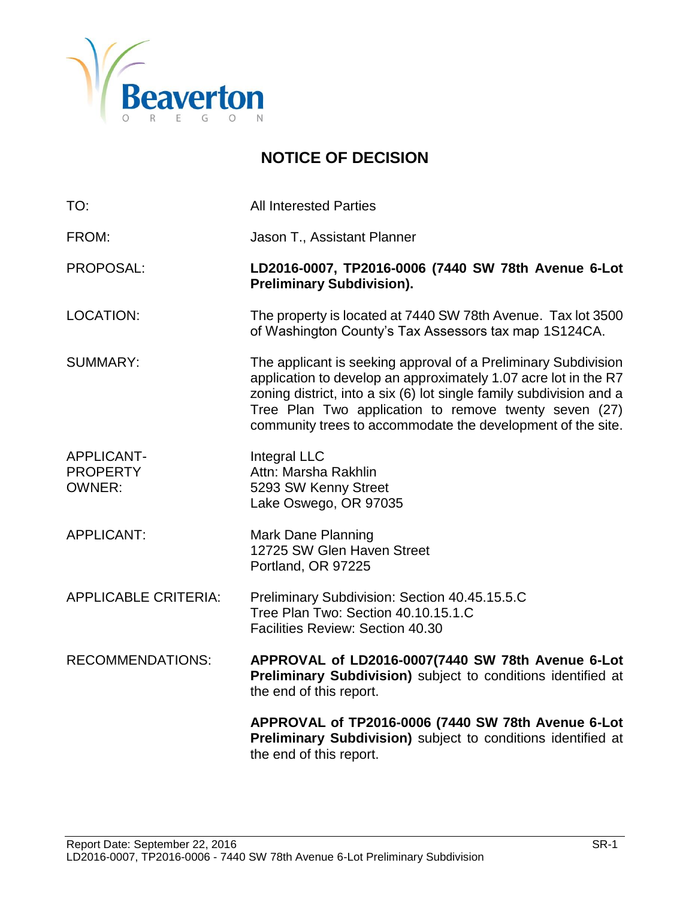

# **NOTICE OF DECISION**

| TO:                                            | <b>All Interested Parties</b>                                                                                                                                                                                                                                                                                                    |
|------------------------------------------------|----------------------------------------------------------------------------------------------------------------------------------------------------------------------------------------------------------------------------------------------------------------------------------------------------------------------------------|
| FROM:                                          | Jason T., Assistant Planner                                                                                                                                                                                                                                                                                                      |
| <b>PROPOSAL:</b>                               | LD2016-0007, TP2016-0006 (7440 SW 78th Avenue 6-Lot<br><b>Preliminary Subdivision).</b>                                                                                                                                                                                                                                          |
| <b>LOCATION:</b>                               | The property is located at 7440 SW 78th Avenue. Tax lot 3500<br>of Washington County's Tax Assessors tax map 1S124CA.                                                                                                                                                                                                            |
| <b>SUMMARY:</b>                                | The applicant is seeking approval of a Preliminary Subdivision<br>application to develop an approximately 1.07 acre lot in the R7<br>zoning district, into a six (6) lot single family subdivision and a<br>Tree Plan Two application to remove twenty seven (27)<br>community trees to accommodate the development of the site. |
| APPLICANT-<br><b>PROPERTY</b><br><b>OWNER:</b> | Integral LLC<br>Attn: Marsha Rakhlin<br>5293 SW Kenny Street<br>Lake Oswego, OR 97035                                                                                                                                                                                                                                            |
| <b>APPLICANT:</b>                              | <b>Mark Dane Planning</b><br>12725 SW Glen Haven Street<br>Portland, OR 97225                                                                                                                                                                                                                                                    |
| <b>APPLICABLE CRITERIA:</b>                    | Preliminary Subdivision: Section 40.45.15.5.C<br>Tree Plan Two: Section 40.10.15.1.C<br>Facilities Review: Section 40.30                                                                                                                                                                                                         |
| <b>RECOMMENDATIONS:</b>                        | APPROVAL of LD2016-0007(7440 SW 78th Avenue 6-Lot<br>Preliminary Subdivision) subject to conditions identified at<br>the end of this report.                                                                                                                                                                                     |
|                                                | APPROVAL of TP2016-0006 (7440 SW 78th Avenue 6-Lot<br>Preliminary Subdivision) subject to conditions identified at<br>the end of this report.                                                                                                                                                                                    |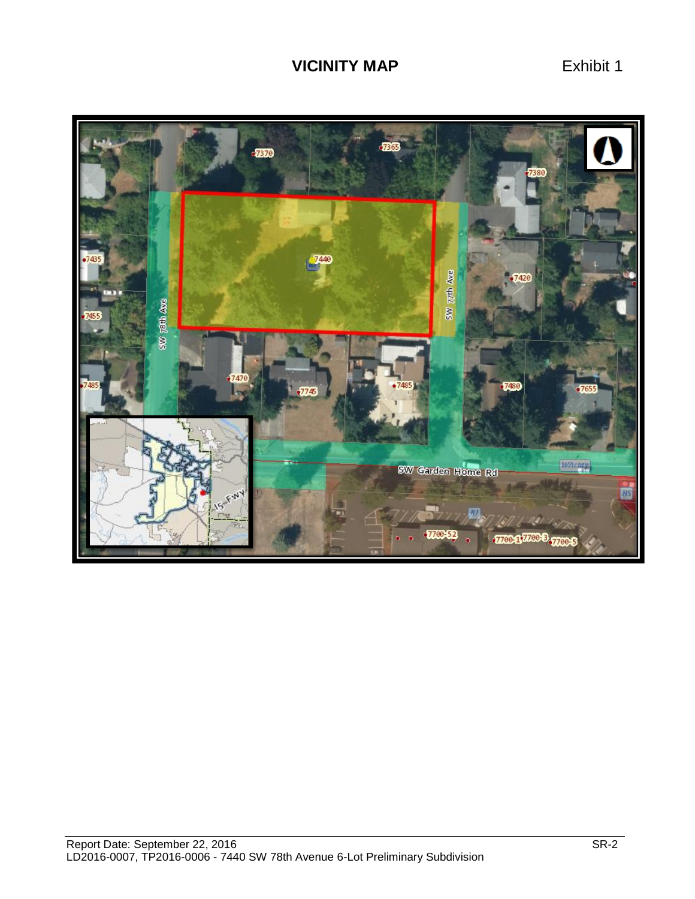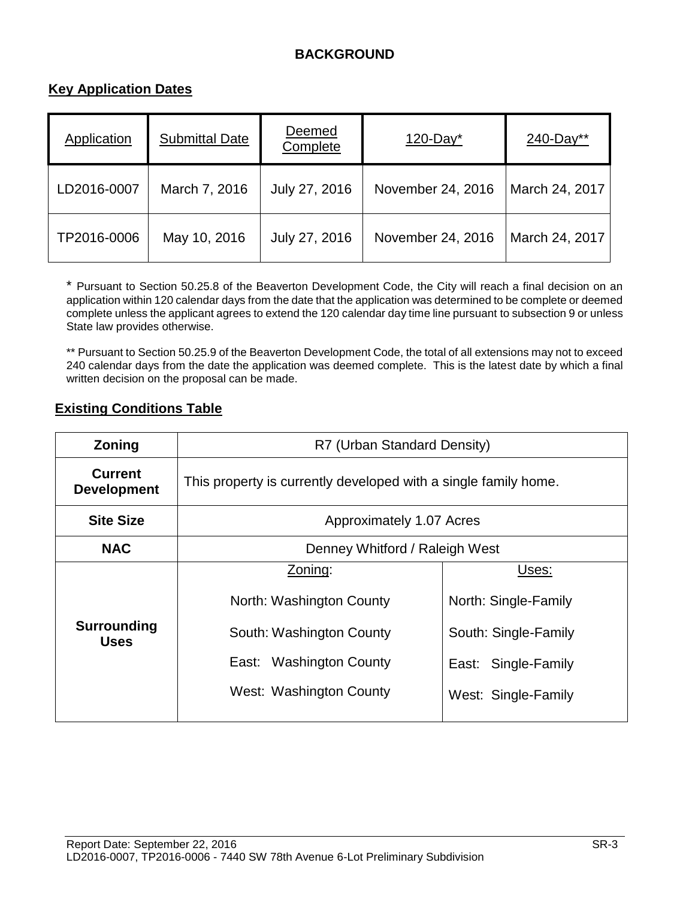# **BACKGROUND**

### **Key Application Dates**

| Application | <b>Submittal Date</b> | Deemed<br>Complete | $120$ -Day <sup>*</sup> | 240-Day**      |
|-------------|-----------------------|--------------------|-------------------------|----------------|
| LD2016-0007 | March 7, 2016         | July 27, 2016      | November 24, 2016       | March 24, 2017 |
| TP2016-0006 | May 10, 2016          | July 27, 2016      | November 24, 2016       | March 24, 2017 |

\* Pursuant to Section 50.25.8 of the Beaverton Development Code, the City will reach a final decision on an application within 120 calendar days from the date that the application was determined to be complete or deemed complete unless the applicant agrees to extend the 120 calendar day time line pursuant to subsection 9 or unless State law provides otherwise.

\*\* Pursuant to Section 50.25.9 of the Beaverton Development Code, the total of all extensions may not to exceed 240 calendar days from the date the application was deemed complete. This is the latest date by which a final written decision on the proposal can be made.

#### **Existing Conditions Table**

| Zoning                               | R7 (Urban Standard Density)                                     |                      |  |  |
|--------------------------------------|-----------------------------------------------------------------|----------------------|--|--|
| <b>Current</b><br><b>Development</b> | This property is currently developed with a single family home. |                      |  |  |
| <b>Site Size</b>                     | Approximately 1.07 Acres                                        |                      |  |  |
| <b>NAC</b>                           | Denney Whitford / Raleigh West                                  |                      |  |  |
|                                      | Zoning:                                                         | Uses:                |  |  |
| Surrounding<br><b>Uses</b>           | North: Washington County                                        | North: Single-Family |  |  |
|                                      | South: Washington County                                        | South: Single-Family |  |  |
|                                      | East: Washington County                                         | East: Single-Family  |  |  |
|                                      | West: Washington County                                         | West: Single-Family  |  |  |
|                                      |                                                                 |                      |  |  |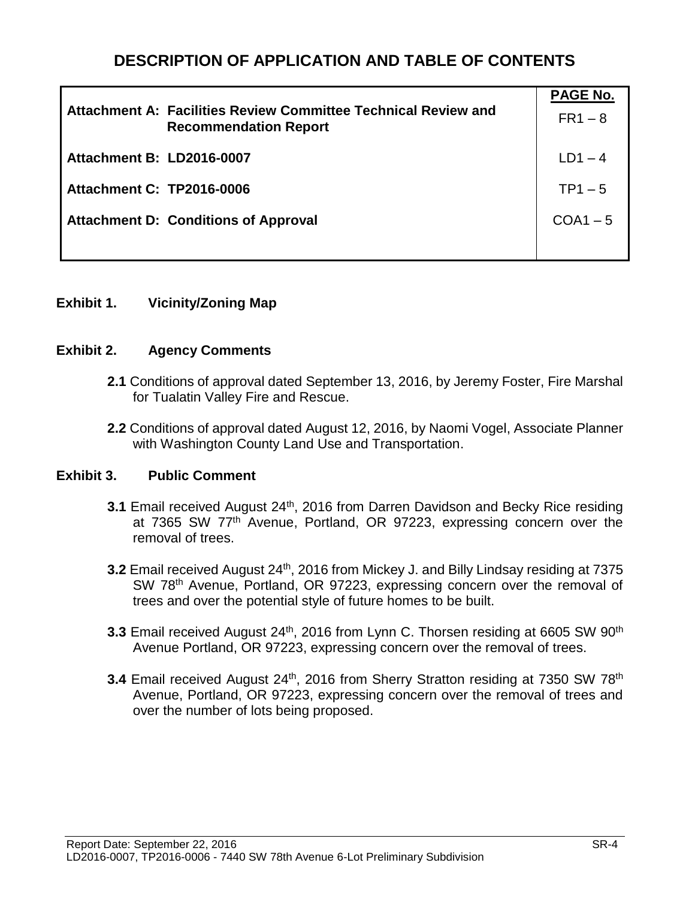# **DESCRIPTION OF APPLICATION AND TABLE OF CONTENTS**

| Attachment A: Facilities Review Committee Technical Review and<br><b>Recommendation Report</b> | <b>PAGE No.</b><br>$FR1 - 8$ |
|------------------------------------------------------------------------------------------------|------------------------------|
| Attachment B: LD2016-0007                                                                      | $LD1 - 4$                    |
| <b>Attachment C: TP2016-0006</b>                                                               | $TP1 - 5$                    |
| <b>Attachment D: Conditions of Approval</b>                                                    | $COA1 - 5$                   |
|                                                                                                |                              |

#### **Exhibit 1. Vicinity/Zoning Map**

#### **Exhibit 2. Agency Comments**

- **2.1** Conditions of approval dated September 13, 2016, by Jeremy Foster, Fire Marshal for Tualatin Valley Fire and Rescue.
- **2.2** Conditions of approval dated August 12, 2016, by Naomi Vogel, Associate Planner with Washington County Land Use and Transportation.

#### **Exhibit 3. Public Comment**

- **3.1** Email received August 24<sup>th</sup>, 2016 from Darren Davidson and Becky Rice residing at 7365 SW 77<sup>th</sup> Avenue, Portland, OR 97223, expressing concern over the removal of trees.
- **3.2** Email received August 24<sup>th</sup>, 2016 from Mickey J. and Billy Lindsay residing at 7375 SW 78<sup>th</sup> Avenue, Portland, OR 97223, expressing concern over the removal of trees and over the potential style of future homes to be built.
- **3.3** Email received August 24<sup>th</sup>, 2016 from Lynn C. Thorsen residing at 6605 SW 90<sup>th</sup> Avenue Portland, OR 97223, expressing concern over the removal of trees.
- **3.4** Email received August 24<sup>th</sup>, 2016 from Sherry Stratton residing at 7350 SW 78<sup>th</sup> Avenue, Portland, OR 97223, expressing concern over the removal of trees and over the number of lots being proposed.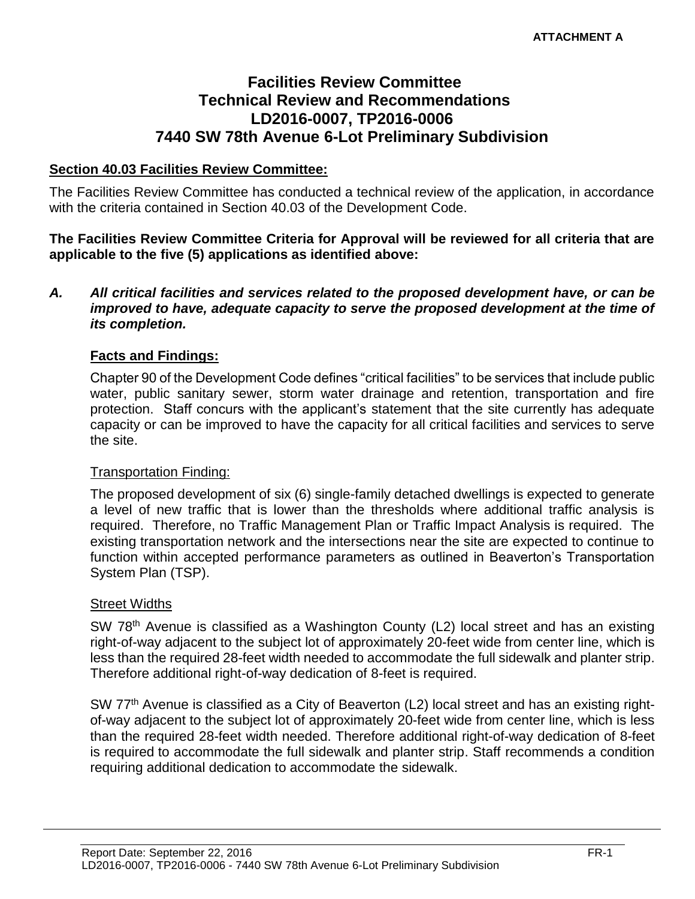# **Facilities Review Committee Technical Review and Recommendations LD2016-0007, TP2016-0006 7440 SW 78th Avenue 6-Lot Preliminary Subdivision**

#### **Section 40.03 Facilities Review Committee:**

The Facilities Review Committee has conducted a technical review of the application, in accordance with the criteria contained in Section 40.03 of the Development Code.

**The Facilities Review Committee Criteria for Approval will be reviewed for all criteria that are applicable to the five (5) applications as identified above:**

#### *A. All critical facilities and services related to the proposed development have, or can be improved to have, adequate capacity to serve the proposed development at the time of its completion.*

#### **Facts and Findings:**

Chapter 90 of the Development Code defines "critical facilities" to be services that include public water, public sanitary sewer, storm water drainage and retention, transportation and fire protection. Staff concurs with the applicant's statement that the site currently has adequate capacity or can be improved to have the capacity for all critical facilities and services to serve the site.

#### Transportation Finding:

The proposed development of six (6) single-family detached dwellings is expected to generate a level of new traffic that is lower than the thresholds where additional traffic analysis is required. Therefore, no Traffic Management Plan or Traffic Impact Analysis is required. The existing transportation network and the intersections near the site are expected to continue to function within accepted performance parameters as outlined in Beaverton's Transportation System Plan (TSP).

#### Street Widths

SW 78<sup>th</sup> Avenue is classified as a Washington County (L2) local street and has an existing right-of-way adjacent to the subject lot of approximately 20-feet wide from center line, which is less than the required 28-feet width needed to accommodate the full sidewalk and planter strip. Therefore additional right-of-way dedication of 8-feet is required.

SW 77<sup>th</sup> Avenue is classified as a City of Beaverton (L2) local street and has an existing rightof-way adjacent to the subject lot of approximately 20-feet wide from center line, which is less than the required 28-feet width needed. Therefore additional right-of-way dedication of 8-feet is required to accommodate the full sidewalk and planter strip. Staff recommends a condition requiring additional dedication to accommodate the sidewalk.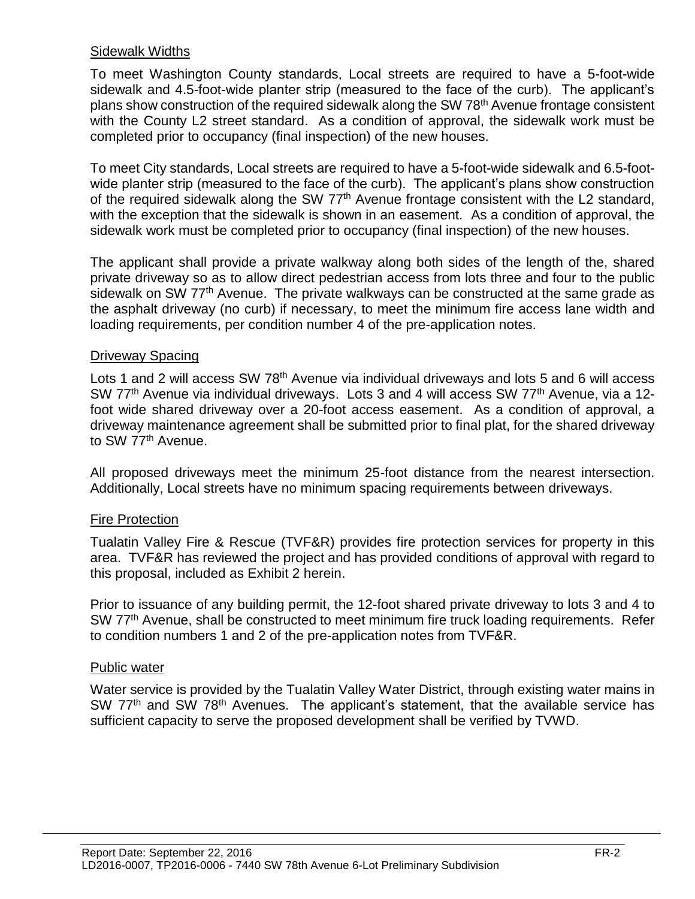#### Sidewalk Widths

To meet Washington County standards, Local streets are required to have a 5-foot-wide sidewalk and 4.5-foot-wide planter strip (measured to the face of the curb). The applicant's plans show construction of the required sidewalk along the SW 78<sup>th</sup> Avenue frontage consistent with the County L2 street standard. As a condition of approval, the sidewalk work must be completed prior to occupancy (final inspection) of the new houses.

To meet City standards, Local streets are required to have a 5-foot-wide sidewalk and 6.5-footwide planter strip (measured to the face of the curb). The applicant's plans show construction of the required sidewalk along the SW 77<sup>th</sup> Avenue frontage consistent with the L2 standard, with the exception that the sidewalk is shown in an easement. As a condition of approval, the sidewalk work must be completed prior to occupancy (final inspection) of the new houses.

The applicant shall provide a private walkway along both sides of the length of the, shared private driveway so as to allow direct pedestrian access from lots three and four to the public sidewalk on SW 77<sup>th</sup> Avenue. The private walkways can be constructed at the same grade as the asphalt driveway (no curb) if necessary, to meet the minimum fire access lane width and loading requirements, per condition number 4 of the pre-application notes.

#### Driveway Spacing

Lots 1 and 2 will access SW 78<sup>th</sup> Avenue via individual driveways and lots 5 and 6 will access SW 77<sup>th</sup> Avenue via individual driveways. Lots 3 and 4 will access SW 77<sup>th</sup> Avenue, via a 12foot wide shared driveway over a 20-foot access easement. As a condition of approval, a driveway maintenance agreement shall be submitted prior to final plat, for the shared driveway to SW 77<sup>th</sup> Avenue.

All proposed driveways meet the minimum 25-foot distance from the nearest intersection. Additionally, Local streets have no minimum spacing requirements between driveways.

### Fire Protection

Tualatin Valley Fire & Rescue (TVF&R) provides fire protection services for property in this area. TVF&R has reviewed the project and has provided conditions of approval with regard to this proposal, included as Exhibit 2 herein.

Prior to issuance of any building permit, the 12-foot shared private driveway to lots 3 and 4 to SW 77<sup>th</sup> Avenue, shall be constructed to meet minimum fire truck loading requirements. Refer to condition numbers 1 and 2 of the pre-application notes from TVF&R.

#### Public water

Water service is provided by the Tualatin Valley Water District, through existing water mains in SW 77<sup>th</sup> and SW 78<sup>th</sup> Avenues. The applicant's statement, that the available service has sufficient capacity to serve the proposed development shall be verified by TVWD.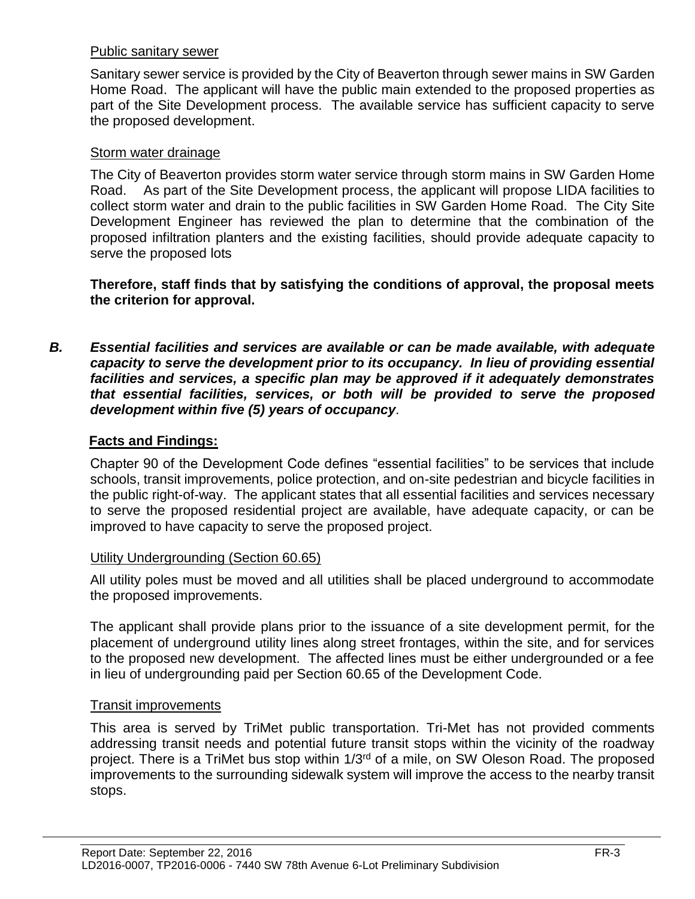#### Public sanitary sewer

Sanitary sewer service is provided by the City of Beaverton through sewer mains in SW Garden Home Road. The applicant will have the public main extended to the proposed properties as part of the Site Development process. The available service has sufficient capacity to serve the proposed development.

#### Storm water drainage

The City of Beaverton provides storm water service through storm mains in SW Garden Home Road. As part of the Site Development process, the applicant will propose LIDA facilities to collect storm water and drain to the public facilities in SW Garden Home Road. The City Site Development Engineer has reviewed the plan to determine that the combination of the proposed infiltration planters and the existing facilities, should provide adequate capacity to serve the proposed lots

**Therefore, staff finds that by satisfying the conditions of approval, the proposal meets the criterion for approval.**

*B. Essential facilities and services are available or can be made available, with adequate capacity to serve the development prior to its occupancy. In lieu of providing essential facilities and services, a specific plan may be approved if it adequately demonstrates that essential facilities, services, or both will be provided to serve the proposed development within five (5) years of occupancy.*

### **Facts and Findings:**

Chapter 90 of the Development Code defines "essential facilities" to be services that include schools, transit improvements, police protection, and on-site pedestrian and bicycle facilities in the public right-of-way. The applicant states that all essential facilities and services necessary to serve the proposed residential project are available, have adequate capacity, or can be improved to have capacity to serve the proposed project.

#### Utility Undergrounding (Section 60.65)

All utility poles must be moved and all utilities shall be placed underground to accommodate the proposed improvements.

The applicant shall provide plans prior to the issuance of a site development permit, for the placement of underground utility lines along street frontages, within the site, and for services to the proposed new development. The affected lines must be either undergrounded or a fee in lieu of undergrounding paid per Section 60.65 of the Development Code.

#### Transit improvements

This area is served by TriMet public transportation. Tri-Met has not provided comments addressing transit needs and potential future transit stops within the vicinity of the roadway project. There is a TriMet bus stop within 1/3<sup>rd</sup> of a mile, on SW Oleson Road. The proposed improvements to the surrounding sidewalk system will improve the access to the nearby transit stops.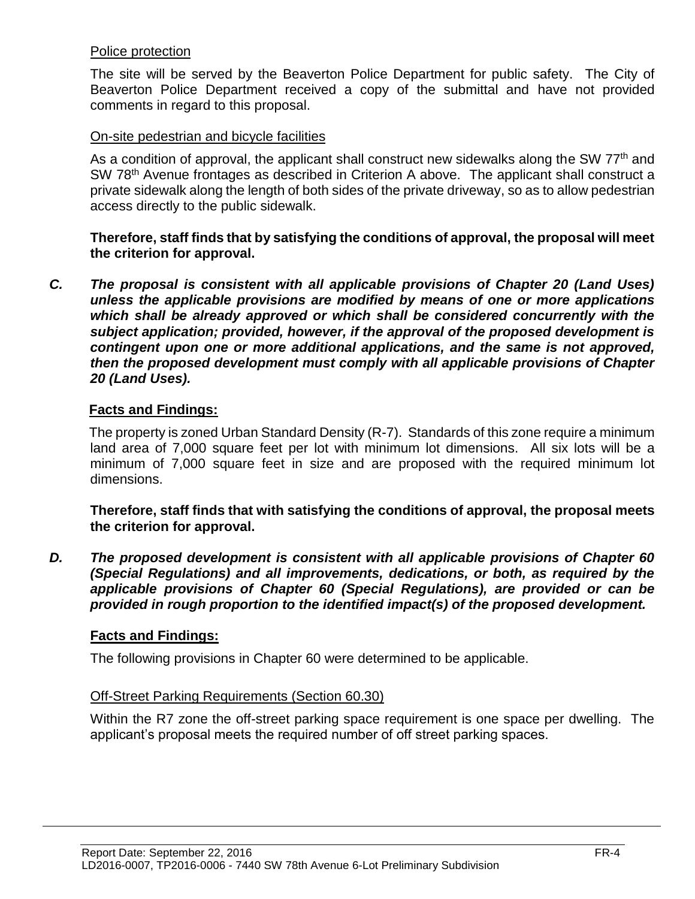#### Police protection

The site will be served by the Beaverton Police Department for public safety. The City of Beaverton Police Department received a copy of the submittal and have not provided comments in regard to this proposal.

#### On-site pedestrian and bicycle facilities

As a condition of approval, the applicant shall construct new sidewalks along the SW 77<sup>th</sup> and SW 78<sup>th</sup> Avenue frontages as described in Criterion A above. The applicant shall construct a private sidewalk along the length of both sides of the private driveway, so as to allow pedestrian access directly to the public sidewalk.

**Therefore, staff finds that by satisfying the conditions of approval, the proposal will meet the criterion for approval.**

*C. The proposal is consistent with all applicable provisions of Chapter 20 (Land Uses) unless the applicable provisions are modified by means of one or more applications which shall be already approved or which shall be considered concurrently with the subject application; provided, however, if the approval of the proposed development is contingent upon one or more additional applications, and the same is not approved, then the proposed development must comply with all applicable provisions of Chapter 20 (Land Uses).*

#### **Facts and Findings:**

The property is zoned Urban Standard Density (R-7). Standards of this zone require a minimum land area of 7,000 square feet per lot with minimum lot dimensions. All six lots will be a minimum of 7,000 square feet in size and are proposed with the required minimum lot dimensions.

**Therefore, staff finds that with satisfying the conditions of approval, the proposal meets the criterion for approval.**

*D. The proposed development is consistent with all applicable provisions of Chapter 60 (Special Regulations) and all improvements, dedications, or both, as required by the applicable provisions of Chapter 60 (Special Regulations), are provided or can be provided in rough proportion to the identified impact(s) of the proposed development.*

### **Facts and Findings:**

The following provisions in Chapter 60 were determined to be applicable.

#### Off-Street Parking Requirements (Section 60.30)

Within the R7 zone the off-street parking space requirement is one space per dwelling. The applicant's proposal meets the required number of off street parking spaces.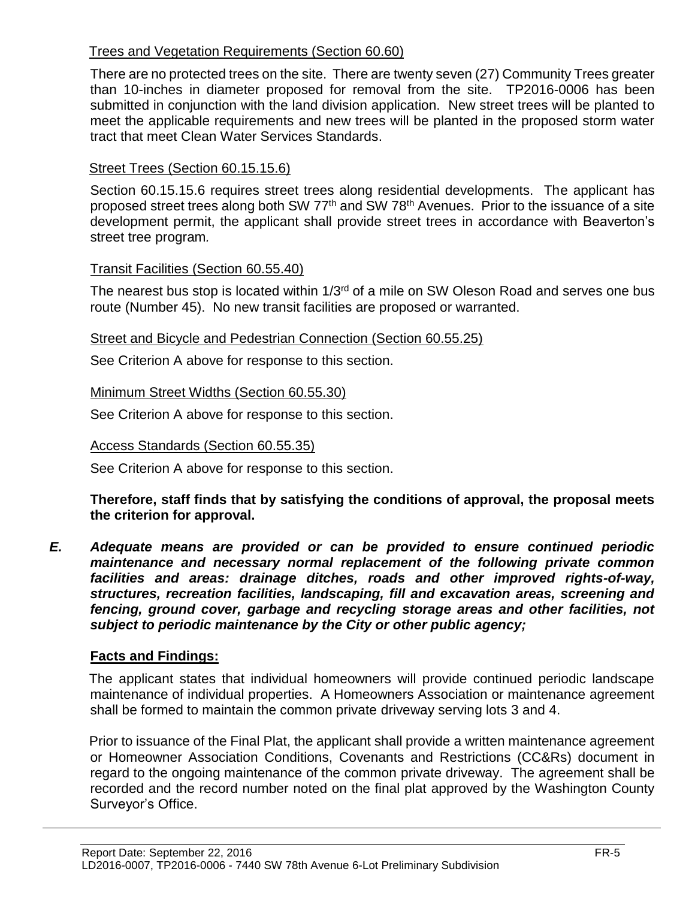# Trees and Vegetation Requirements (Section 60.60)

There are no protected trees on the site. There are twenty seven (27) Community Trees greater than 10-inches in diameter proposed for removal from the site. TP2016-0006 has been submitted in conjunction with the land division application. New street trees will be planted to meet the applicable requirements and new trees will be planted in the proposed storm water tract that meet Clean Water Services Standards.

# Street Trees (Section 60.15.15.6)

Section 60.15.15.6 requires street trees along residential developments. The applicant has proposed street trees along both SW 77<sup>th</sup> and SW 78<sup>th</sup> Avenues. Prior to the issuance of a site development permit, the applicant shall provide street trees in accordance with Beaverton's street tree program*.*

### Transit Facilities (Section 60.55.40)

The nearest bus stop is located within 1/3<sup>rd</sup> of a mile on SW Oleson Road and serves one bus route (Number 45). No new transit facilities are proposed or warranted.

### Street and Bicycle and Pedestrian Connection (Section 60.55.25)

See Criterion A above for response to this section.

# Minimum Street Widths (Section 60.55.30)

See Criterion A above for response to this section.

## Access Standards (Section 60.55.35)

See Criterion A above for response to this section.

### **Therefore, staff finds that by satisfying the conditions of approval, the proposal meets the criterion for approval.**

*E. Adequate means are provided or can be provided to ensure continued periodic maintenance and necessary normal replacement of the following private common facilities and areas: drainage ditches, roads and other improved rights-of-way, structures, recreation facilities, landscaping, fill and excavation areas, screening and fencing, ground cover, garbage and recycling storage areas and other facilities, not subject to periodic maintenance by the City or other public agency;*

# **Facts and Findings:**

The applicant states that individual homeowners will provide continued periodic landscape maintenance of individual properties. A Homeowners Association or maintenance agreement shall be formed to maintain the common private driveway serving lots 3 and 4.

Prior to issuance of the Final Plat, the applicant shall provide a written maintenance agreement or Homeowner Association Conditions, Covenants and Restrictions (CC&Rs) document in regard to the ongoing maintenance of the common private driveway. The agreement shall be recorded and the record number noted on the final plat approved by the Washington County Surveyor's Office.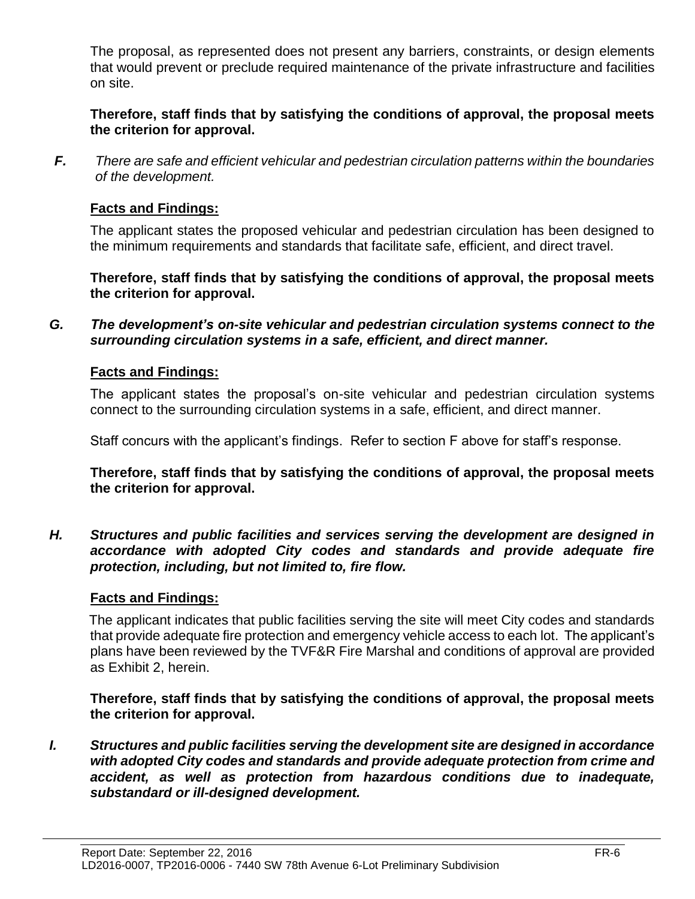The proposal, as represented does not present any barriers, constraints, or design elements that would prevent or preclude required maintenance of the private infrastructure and facilities on site.

**Therefore, staff finds that by satisfying the conditions of approval, the proposal meets the criterion for approval.**

*F. There are safe and efficient vehicular and pedestrian circulation patterns within the boundaries of the development.*

#### **Facts and Findings:**

The applicant states the proposed vehicular and pedestrian circulation has been designed to the minimum requirements and standards that facilitate safe, efficient, and direct travel.

**Therefore, staff finds that by satisfying the conditions of approval, the proposal meets the criterion for approval.**

*G. The development's on-site vehicular and pedestrian circulation systems connect to the surrounding circulation systems in a safe, efficient, and direct manner.*

### **Facts and Findings:**

The applicant states the proposal's on-site vehicular and pedestrian circulation systems connect to the surrounding circulation systems in a safe, efficient, and direct manner.

Staff concurs with the applicant's findings. Refer to section F above for staff's response.

**Therefore, staff finds that by satisfying the conditions of approval, the proposal meets the criterion for approval.**

*H. Structures and public facilities and services serving the development are designed in accordance with adopted City codes and standards and provide adequate fire protection, including, but not limited to, fire flow.*

### **Facts and Findings:**

The applicant indicates that public facilities serving the site will meet City codes and standards that provide adequate fire protection and emergency vehicle access to each lot. The applicant's plans have been reviewed by the TVF&R Fire Marshal and conditions of approval are provided as Exhibit 2, herein.

**Therefore, staff finds that by satisfying the conditions of approval, the proposal meets the criterion for approval.**

*I. Structures and public facilities serving the development site are designed in accordance with adopted City codes and standards and provide adequate protection from crime and accident, as well as protection from hazardous conditions due to inadequate, substandard or ill-designed development.*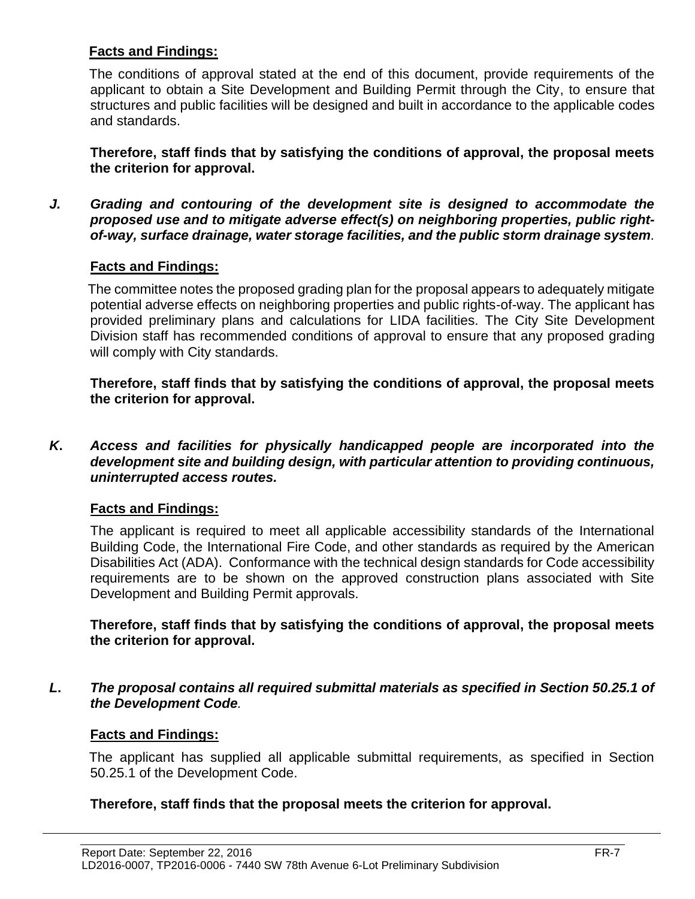## **Facts and Findings:**

The conditions of approval stated at the end of this document, provide requirements of the applicant to obtain a Site Development and Building Permit through the City, to ensure that structures and public facilities will be designed and built in accordance to the applicable codes and standards.

**Therefore, staff finds that by satisfying the conditions of approval, the proposal meets the criterion for approval.**

*J. Grading and contouring of the development site is designed to accommodate the proposed use and to mitigate adverse effect(s) on neighboring properties, public rightof-way, surface drainage, water storage facilities, and the public storm drainage system.*

### **Facts and Findings:**

The committee notes the proposed grading plan for the proposal appears to adequately mitigate potential adverse effects on neighboring properties and public rights-of-way. The applicant has provided preliminary plans and calculations for LIDA facilities. The City Site Development Division staff has recommended conditions of approval to ensure that any proposed grading will comply with City standards.

**Therefore, staff finds that by satisfying the conditions of approval, the proposal meets the criterion for approval.**

*K***.** *Access and facilities for physically handicapped people are incorporated into the development site and building design, with particular attention to providing continuous, uninterrupted access routes.*

### **Facts and Findings:**

The applicant is required to meet all applicable accessibility standards of the International Building Code, the International Fire Code, and other standards as required by the American Disabilities Act (ADA). Conformance with the technical design standards for Code accessibility requirements are to be shown on the approved construction plans associated with Site Development and Building Permit approvals.

**Therefore, staff finds that by satisfying the conditions of approval, the proposal meets the criterion for approval.**

*L***.** *The proposal contains all required submittal materials as specified in Section 50.25.1 of the Development Code.* 

#### **Facts and Findings:**

The applicant has supplied all applicable submittal requirements, as specified in Section 50.25.1 of the Development Code.

### **Therefore, staff finds that the proposal meets the criterion for approval.**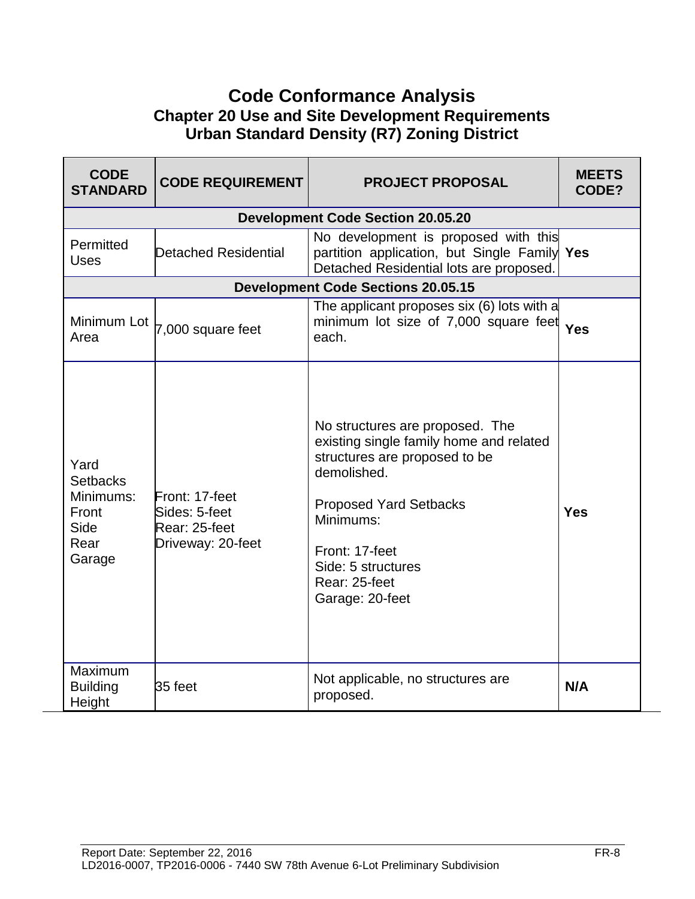# **Code Conformance Analysis Chapter 20 Use and Site Development Requirements Urban Standard Density (R7) Zoning District**

| <b>CODE</b><br><b>STANDARD</b>                                          | <b>CODE REQUIREMENT</b>                                               | <b>PROJECT PROPOSAL</b>                                                                                                                                                                                                                              | <b>MEETS</b><br>CODE? |
|-------------------------------------------------------------------------|-----------------------------------------------------------------------|------------------------------------------------------------------------------------------------------------------------------------------------------------------------------------------------------------------------------------------------------|-----------------------|
|                                                                         |                                                                       | <b>Development Code Section 20.05.20</b>                                                                                                                                                                                                             |                       |
| Permitted<br><b>Uses</b>                                                | Detached Residential                                                  | No development is proposed with this<br>partition application, but Single Family Yes<br>Detached Residential lots are proposed.                                                                                                                      |                       |
|                                                                         |                                                                       | <b>Development Code Sections 20.05.15</b>                                                                                                                                                                                                            |                       |
| Minimum Lot<br>Area                                                     | 7,000 square feet                                                     | The applicant proposes six (6) lots with a<br>minimum lot size of 7,000 square feet Yes<br>each.                                                                                                                                                     |                       |
| Yard<br><b>Setbacks</b><br>Minimums:<br>Front<br>Side<br>Rear<br>Garage | Front: 17-feet<br>Sides: 5-feet<br>Rear: 25-feet<br>Driveway: 20-feet | No structures are proposed. The<br>existing single family home and related<br>structures are proposed to be<br>demolished.<br><b>Proposed Yard Setbacks</b><br>Minimums:<br>Front: 17-feet<br>Side: 5 structures<br>Rear: 25-feet<br>Garage: 20-feet | <b>Yes</b>            |
| Maximum<br><b>Building</b><br>Height                                    | 35 feet                                                               | Not applicable, no structures are<br>proposed.                                                                                                                                                                                                       | N/A                   |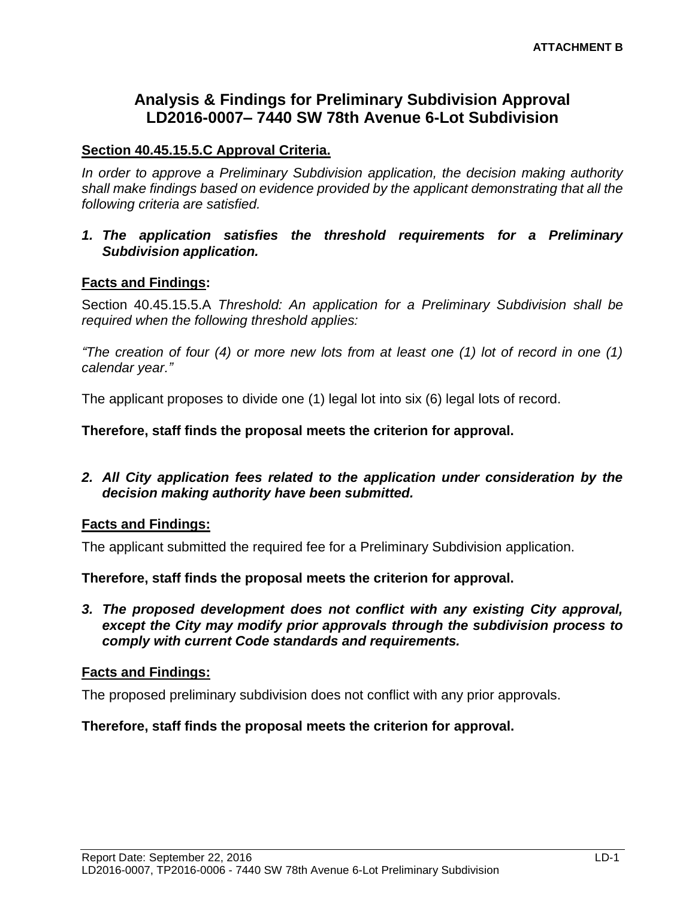# **Analysis & Findings for Preliminary Subdivision Approval LD2016-0007– 7440 SW 78th Avenue 6-Lot Subdivision**

#### **Section 40.45.15.5.C Approval Criteria.**

*In order to approve a Preliminary Subdivision application, the decision making authority shall make findings based on evidence provided by the applicant demonstrating that all the following criteria are satisfied.*

*1. The application satisfies the threshold requirements for a Preliminary Subdivision application.* 

#### **Facts and Findings:**

Section 40.45.15.5.A *Threshold: An application for a Preliminary Subdivision shall be required when the following threshold applies:*

*"The creation of four (4) or more new lots from at least one (1) lot of record in one (1) calendar year."*

The applicant proposes to divide one (1) legal lot into six (6) legal lots of record.

**Therefore, staff finds the proposal meets the criterion for approval.**

*2. All City application fees related to the application under consideration by the decision making authority have been submitted.*

#### **Facts and Findings:**

The applicant submitted the required fee for a Preliminary Subdivision application.

**Therefore, staff finds the proposal meets the criterion for approval.**

*3. The proposed development does not conflict with any existing City approval, except the City may modify prior approvals through the subdivision process to comply with current Code standards and requirements.*

#### **Facts and Findings:**

The proposed preliminary subdivision does not conflict with any prior approvals.

#### **Therefore, staff finds the proposal meets the criterion for approval.**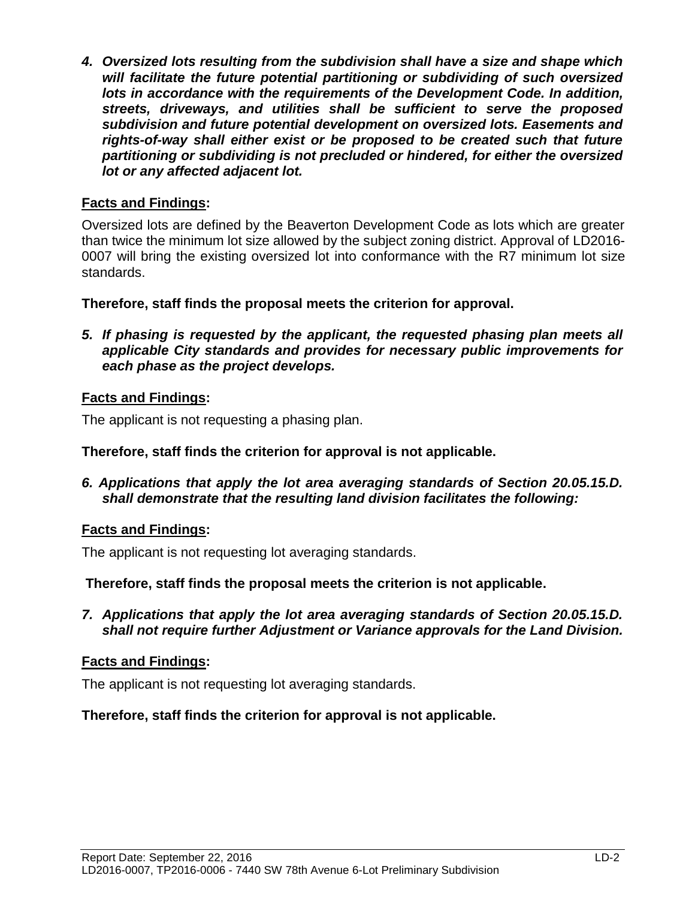*4. Oversized lots resulting from the subdivision shall have a size and shape which will facilitate the future potential partitioning or subdividing of such oversized lots in accordance with the requirements of the Development Code. In addition, streets, driveways, and utilities shall be sufficient to serve the proposed subdivision and future potential development on oversized lots. Easements and rights-of-way shall either exist or be proposed to be created such that future partitioning or subdividing is not precluded or hindered, for either the oversized lot or any affected adjacent lot.*

### **Facts and Findings:**

Oversized lots are defined by the Beaverton Development Code as lots which are greater than twice the minimum lot size allowed by the subject zoning district. Approval of LD2016- 0007 will bring the existing oversized lot into conformance with the R7 minimum lot size standards.

**Therefore, staff finds the proposal meets the criterion for approval.**

*5. If phasing is requested by the applicant, the requested phasing plan meets all applicable City standards and provides for necessary public improvements for each phase as the project develops.*

# **Facts and Findings:**

The applicant is not requesting a phasing plan.

#### **Therefore, staff finds the criterion for approval is not applicable.**

*6. Applications that apply the lot area averaging standards of Section 20.05.15.D. shall demonstrate that the resulting land division facilitates the following:*

### **Facts and Findings:**

The applicant is not requesting lot averaging standards.

**Therefore, staff finds the proposal meets the criterion is not applicable.**

*7. Applications that apply the lot area averaging standards of Section 20.05.15.D. shall not require further Adjustment or Variance approvals for the Land Division.*

### **Facts and Findings:**

The applicant is not requesting lot averaging standards.

### **Therefore, staff finds the criterion for approval is not applicable.**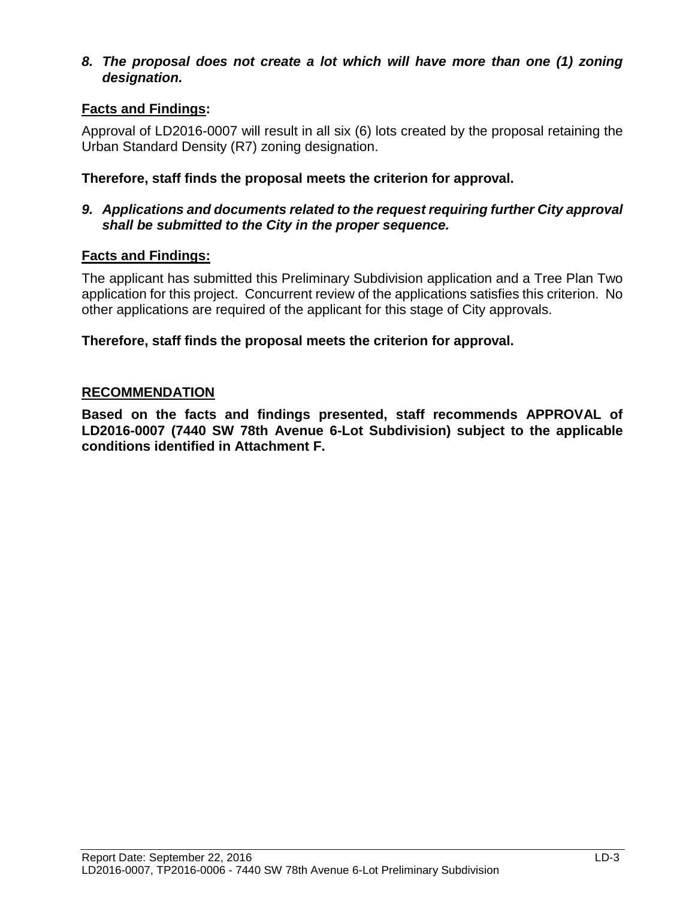#### *8. The proposal does not create a lot which will have more than one (1) zoning designation.*

# **Facts and Findings:**

Approval of LD2016-0007 will result in all six (6) lots created by the proposal retaining the Urban Standard Density (R7) zoning designation.

### **Therefore, staff finds the proposal meets the criterion for approval.**

#### *9. Applications and documents related to the request requiring further City approval shall be submitted to the City in the proper sequence.*

### **Facts and Findings:**

The applicant has submitted this Preliminary Subdivision application and a Tree Plan Two application for this project. Concurrent review of the applications satisfies this criterion. No other applications are required of the applicant for this stage of City approvals.

#### **Therefore, staff finds the proposal meets the criterion for approval.**

#### **RECOMMENDATION**

**Based on the facts and findings presented, staff recommends APPROVAL of LD2016-0007 (7440 SW 78th Avenue 6-Lot Subdivision) subject to the applicable conditions identified in Attachment F.**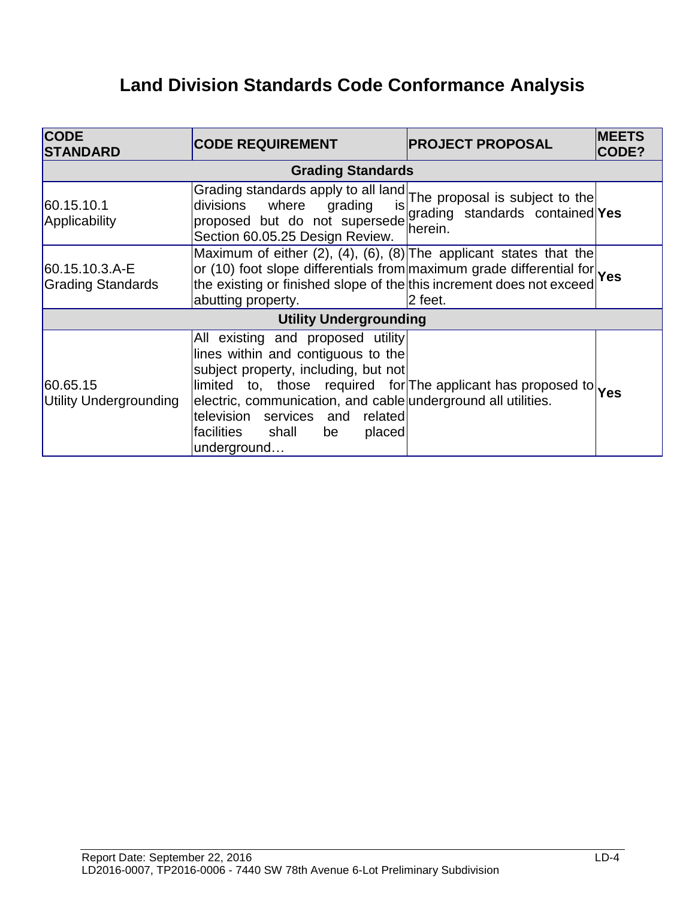# **Land Division Standards Code Conformance Analysis**

| <b>CODE</b><br><b>STANDARD</b>             | <b>CODE REQUIREMENT</b>                                                                                                                                                                                                                                                                                                                                                                                                                                                                                                    | <b>PROJECT PROPOSAL</b>                    | <b>MEETS</b><br>CODE? |  |
|--------------------------------------------|----------------------------------------------------------------------------------------------------------------------------------------------------------------------------------------------------------------------------------------------------------------------------------------------------------------------------------------------------------------------------------------------------------------------------------------------------------------------------------------------------------------------------|--------------------------------------------|-----------------------|--|
| <b>Grading Standards</b>                   |                                                                                                                                                                                                                                                                                                                                                                                                                                                                                                                            |                                            |                       |  |
| 60.15.10.1<br>Applicability                | Grading standards apply to all land The proposal is subject to the<br>divisions where grading<br>proposed but do not supersede<br>Section 60.05.25 Design Review.                                                                                                                                                                                                                                                                                                                                                          | grading standards contained Yes<br>herein. |                       |  |
| 60.15.10.3.A-E<br><b>Grading Standards</b> | Maximum of either (2), (4), (6), (8) The applicant states that the<br>or (10) foot slope differentials from maximum grade differential for Yes<br>abutting property.                                                                                                                                                                                                                                                                                                                                                       | 2 feet.                                    |                       |  |
|                                            | <b>Utility Undergrounding</b>                                                                                                                                                                                                                                                                                                                                                                                                                                                                                              |                                            |                       |  |
| 60.65.15<br>Utility Undergrounding         | All existing and proposed utility<br>lines within and contiguous to the<br>subject property, including, but not<br>$\begin{vmatrix}$ limited to, those required for The applicant has proposed to $\begin{vmatrix} 1 & 0 \\ 0 & 1 \end{vmatrix}$ interting the value of $\begin{vmatrix} 1 & 0 \\ 0 & 1 \end{vmatrix}$ interting the value of $\begin{vmatrix} 1 & 0 \\ 0 & 1 \end{vmatrix}$ interting $\begin{vmatrix} 1 & 0 \\ 0 & 1$<br>television services and related<br>facilities shall be<br>placed<br>underground |                                            |                       |  |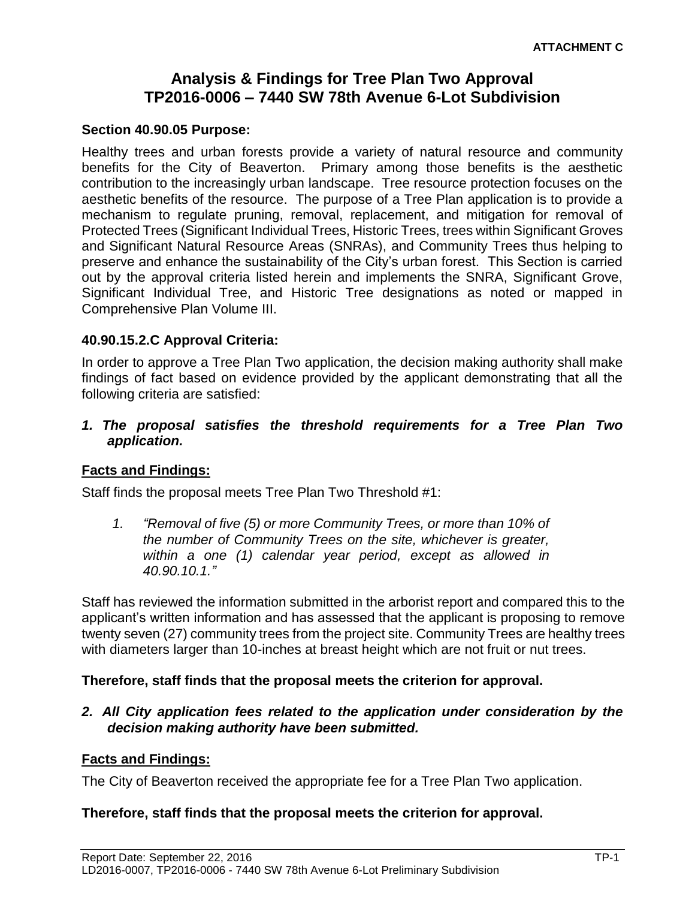# **Analysis & Findings for Tree Plan Two Approval TP2016-0006 – 7440 SW 78th Avenue 6-Lot Subdivision**

#### **Section 40.90.05 Purpose:**

Healthy trees and urban forests provide a variety of natural resource and community benefits for the City of Beaverton. Primary among those benefits is the aesthetic contribution to the increasingly urban landscape. Tree resource protection focuses on the aesthetic benefits of the resource. The purpose of a Tree Plan application is to provide a mechanism to regulate pruning, removal, replacement, and mitigation for removal of Protected Trees (Significant Individual Trees, Historic Trees, trees within Significant Groves and Significant Natural Resource Areas (SNRAs), and Community Trees thus helping to preserve and enhance the sustainability of the City's urban forest. This Section is carried out by the approval criteria listed herein and implements the SNRA, Significant Grove, Significant Individual Tree, and Historic Tree designations as noted or mapped in Comprehensive Plan Volume III.

### **40.90.15.2.C Approval Criteria:**

In order to approve a Tree Plan Two application, the decision making authority shall make findings of fact based on evidence provided by the applicant demonstrating that all the following criteria are satisfied:

*1. The proposal satisfies the threshold requirements for a Tree Plan Two application.*

### **Facts and Findings:**

Staff finds the proposal meets Tree Plan Two Threshold #1:

*1. "Removal of five (5) or more Community Trees, or more than 10% of the number of Community Trees on the site, whichever is greater, within a one (1) calendar year period, except as allowed in 40.90.10.1."* 

Staff has reviewed the information submitted in the arborist report and compared this to the applicant's written information and has assessed that the applicant is proposing to remove twenty seven (27) community trees from the project site. Community Trees are healthy trees with diameters larger than 10-inches at breast height which are not fruit or nut trees.

#### **Therefore, staff finds that the proposal meets the criterion for approval.**

*2. All City application fees related to the application under consideration by the decision making authority have been submitted.*

#### **Facts and Findings:**

The City of Beaverton received the appropriate fee for a Tree Plan Two application.

#### **Therefore, staff finds that the proposal meets the criterion for approval.**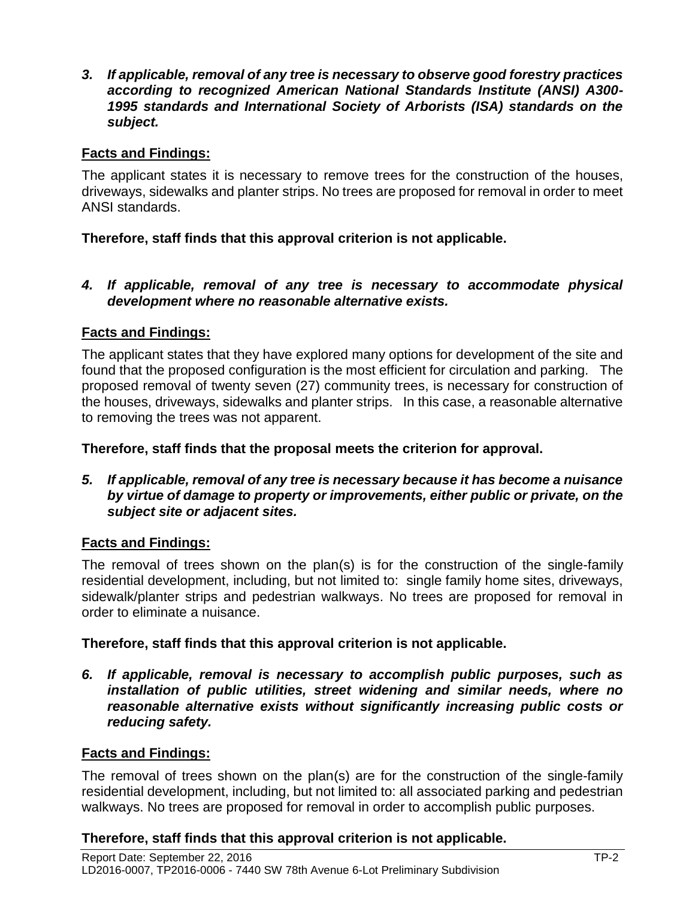*3. If applicable, removal of any tree is necessary to observe good forestry practices according to recognized American National Standards Institute (ANSI) A300- 1995 standards and International Society of Arborists (ISA) standards on the subject.*

### **Facts and Findings:**

The applicant states it is necessary to remove trees for the construction of the houses, driveways, sidewalks and planter strips. No trees are proposed for removal in order to meet ANSI standards.

### **Therefore, staff finds that this approval criterion is not applicable.**

#### *4. If applicable, removal of any tree is necessary to accommodate physical development where no reasonable alternative exists.*

### **Facts and Findings:**

The applicant states that they have explored many options for development of the site and found that the proposed configuration is the most efficient for circulation and parking. The proposed removal of twenty seven (27) community trees, is necessary for construction of the houses, driveways, sidewalks and planter strips. In this case, a reasonable alternative to removing the trees was not apparent.

#### **Therefore, staff finds that the proposal meets the criterion for approval.**

*5. If applicable, removal of any tree is necessary because it has become a nuisance by virtue of damage to property or improvements, either public or private, on the subject site or adjacent sites.*

### **Facts and Findings:**

The removal of trees shown on the plan(s) is for the construction of the single-family residential development, including, but not limited to: single family home sites, driveways, sidewalk/planter strips and pedestrian walkways. No trees are proposed for removal in order to eliminate a nuisance.

#### **Therefore, staff finds that this approval criterion is not applicable.**

*6. If applicable, removal is necessary to accomplish public purposes, such as installation of public utilities, street widening and similar needs, where no reasonable alternative exists without significantly increasing public costs or reducing safety.*

#### **Facts and Findings:**

The removal of trees shown on the plan(s) are for the construction of the single-family residential development, including, but not limited to: all associated parking and pedestrian walkways. No trees are proposed for removal in order to accomplish public purposes.

#### **Therefore, staff finds that this approval criterion is not applicable.**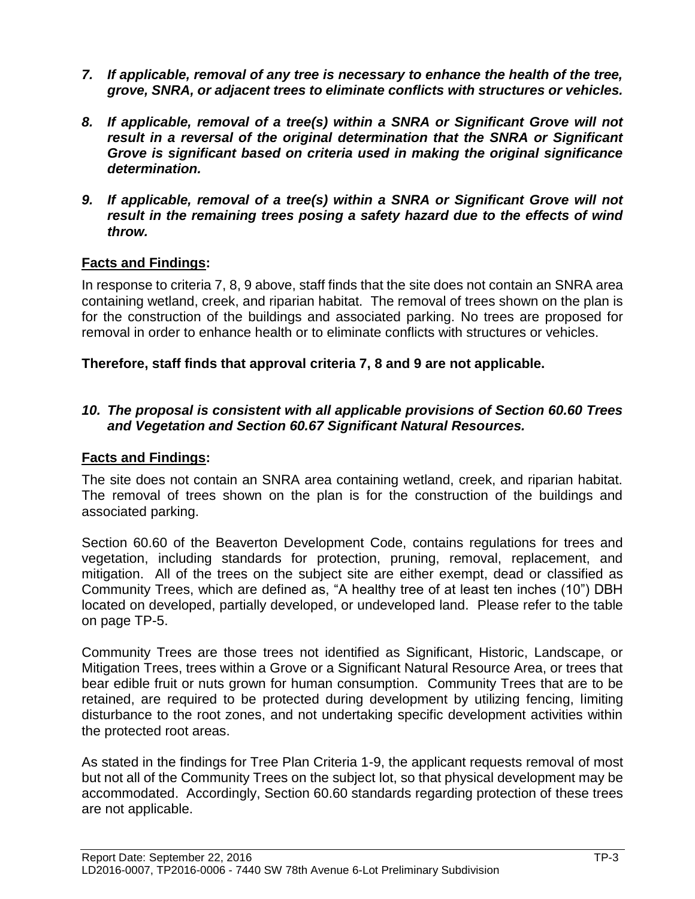- *7. If applicable, removal of any tree is necessary to enhance the health of the tree, grove, SNRA, or adjacent trees to eliminate conflicts with structures or vehicles.*
- *8. If applicable, removal of a tree(s) within a SNRA or Significant Grove will not result in a reversal of the original determination that the SNRA or Significant Grove is significant based on criteria used in making the original significance determination.*
- *9. If applicable, removal of a tree(s) within a SNRA or Significant Grove will not result in the remaining trees posing a safety hazard due to the effects of wind throw.*

### **Facts and Findings:**

In response to criteria 7, 8, 9 above, staff finds that the site does not contain an SNRA area containing wetland, creek, and riparian habitat. The removal of trees shown on the plan is for the construction of the buildings and associated parking. No trees are proposed for removal in order to enhance health or to eliminate conflicts with structures or vehicles.

#### **Therefore, staff finds that approval criteria 7, 8 and 9 are not applicable.**

#### *10. The proposal is consistent with all applicable provisions of Section 60.60 Trees and Vegetation and Section 60.67 Significant Natural Resources.*

#### **Facts and Findings:**

The site does not contain an SNRA area containing wetland, creek, and riparian habitat. The removal of trees shown on the plan is for the construction of the buildings and associated parking.

Section 60.60 of the Beaverton Development Code, contains regulations for trees and vegetation, including standards for protection, pruning, removal, replacement, and mitigation. All of the trees on the subject site are either exempt, dead or classified as Community Trees, which are defined as, "A healthy tree of at least ten inches (10") DBH located on developed, partially developed, or undeveloped land. Please refer to the table on page TP-5.

Community Trees are those trees not identified as Significant, Historic, Landscape, or Mitigation Trees, trees within a Grove or a Significant Natural Resource Area, or trees that bear edible fruit or nuts grown for human consumption. Community Trees that are to be retained, are required to be protected during development by utilizing fencing, limiting disturbance to the root zones, and not undertaking specific development activities within the protected root areas.

As stated in the findings for Tree Plan Criteria 1-9, the applicant requests removal of most but not all of the Community Trees on the subject lot, so that physical development may be accommodated. Accordingly, Section 60.60 standards regarding protection of these trees are not applicable.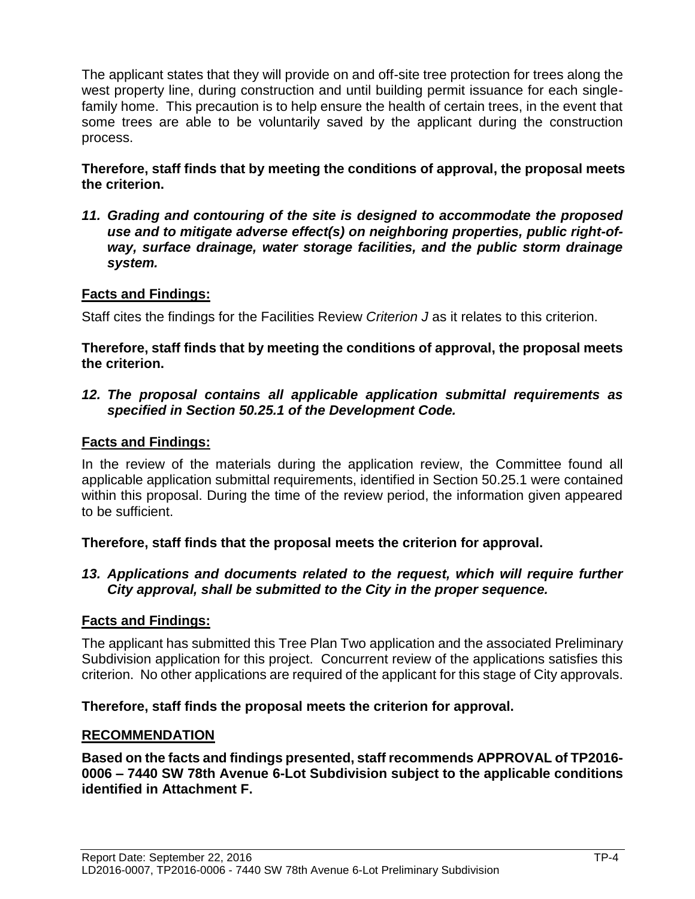The applicant states that they will provide on and off-site tree protection for trees along the west property line, during construction and until building permit issuance for each singlefamily home. This precaution is to help ensure the health of certain trees, in the event that some trees are able to be voluntarily saved by the applicant during the construction process.

**Therefore, staff finds that by meeting the conditions of approval, the proposal meets the criterion.** 

*11. Grading and contouring of the site is designed to accommodate the proposed use and to mitigate adverse effect(s) on neighboring properties, public right-ofway, surface drainage, water storage facilities, and the public storm drainage system.*

# **Facts and Findings:**

Staff cites the findings for the Facilities Review *Criterion J* as it relates to this criterion.

**Therefore, staff finds that by meeting the conditions of approval, the proposal meets the criterion.** 

*12. The proposal contains all applicable application submittal requirements as specified in Section 50.25.1 of the Development Code.*

# **Facts and Findings:**

In the review of the materials during the application review, the Committee found all applicable application submittal requirements, identified in Section 50.25.1 were contained within this proposal. During the time of the review period, the information given appeared to be sufficient.

### **Therefore, staff finds that the proposal meets the criterion for approval.**

#### *13. Applications and documents related to the request, which will require further City approval, shall be submitted to the City in the proper sequence.*

### **Facts and Findings:**

The applicant has submitted this Tree Plan Two application and the associated Preliminary Subdivision application for this project. Concurrent review of the applications satisfies this criterion. No other applications are required of the applicant for this stage of City approvals.

### **Therefore, staff finds the proposal meets the criterion for approval.**

### **RECOMMENDATION**

**Based on the facts and findings presented, staff recommends APPROVAL of TP2016- 0006 – 7440 SW 78th Avenue 6-Lot Subdivision subject to the applicable conditions identified in Attachment F.**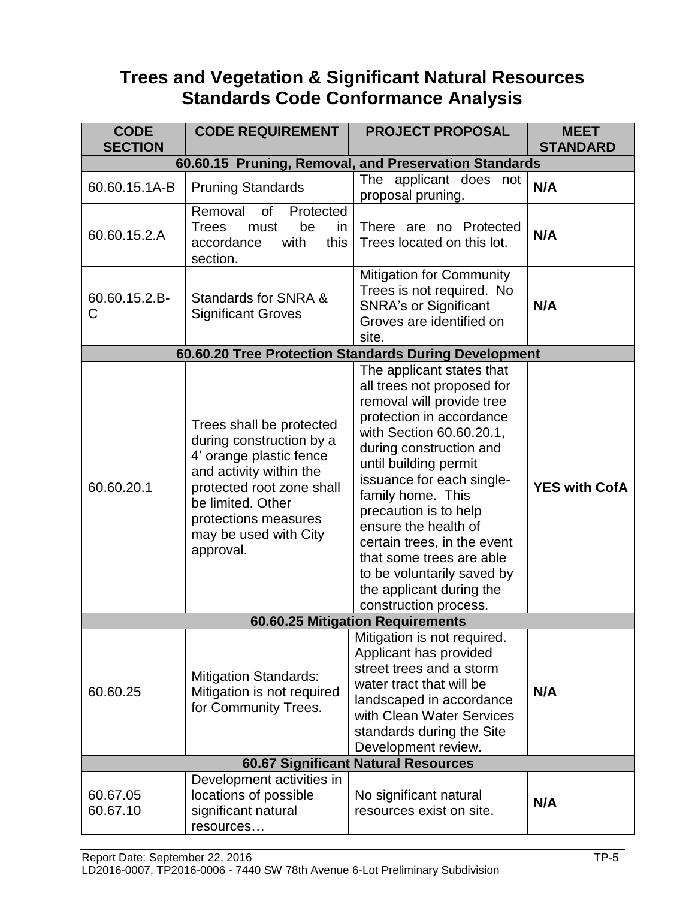# **Trees and Vegetation & Significant Natural Resources Standards Code Conformance Analysis**

| <b>CODE</b><br><b>SECTION</b>    | <b>CODE REQUIREMENT</b>                                                                                                                                                                                                    | <b>PROJECT PROPOSAL</b>                                                                                                                                                                                                                                                                                                                                                                                                                           | <b>MEET</b><br><b>STANDARD</b> |
|----------------------------------|----------------------------------------------------------------------------------------------------------------------------------------------------------------------------------------------------------------------------|---------------------------------------------------------------------------------------------------------------------------------------------------------------------------------------------------------------------------------------------------------------------------------------------------------------------------------------------------------------------------------------------------------------------------------------------------|--------------------------------|
|                                  |                                                                                                                                                                                                                            |                                                                                                                                                                                                                                                                                                                                                                                                                                                   |                                |
| 60.60.15.1A-B                    | <b>Pruning Standards</b>                                                                                                                                                                                                   | 60.60.15 Pruning, Removal, and Preservation Standards<br>The applicant does not<br>proposal pruning.                                                                                                                                                                                                                                                                                                                                              | N/A                            |
| 60.60.15.2.A                     | Removal<br>of<br>Protected<br><b>Trees</b><br>be<br>must<br>in<br>with<br>this<br>accordance<br>section.                                                                                                                   | There are no Protected<br>Trees located on this lot.                                                                                                                                                                                                                                                                                                                                                                                              | N/A                            |
| 60.60.15.2.B-<br>C               | Standards for SNRA &<br><b>Significant Groves</b>                                                                                                                                                                          | <b>Mitigation for Community</b><br>Trees is not required. No<br><b>SNRA's or Significant</b><br>Groves are identified on<br>site.                                                                                                                                                                                                                                                                                                                 | N/A                            |
|                                  |                                                                                                                                                                                                                            | 60.60.20 Tree Protection Standards During Development                                                                                                                                                                                                                                                                                                                                                                                             |                                |
| 60.60.20.1                       | Trees shall be protected<br>during construction by a<br>4' orange plastic fence<br>and activity within the<br>protected root zone shall<br>be limited. Other<br>protections measures<br>may be used with City<br>approval. | The applicant states that<br>all trees not proposed for<br>removal will provide tree<br>protection in accordance<br>with Section 60.60.20.1,<br>during construction and<br>until building permit<br>issuance for each single-<br>family home. This<br>precaution is to help<br>ensure the health of<br>certain trees, in the event<br>that some trees are able<br>to be voluntarily saved by<br>the applicant during the<br>construction process. | <b>YES with CofA</b>           |
| 60.60.25 Mitigation Requirements |                                                                                                                                                                                                                            |                                                                                                                                                                                                                                                                                                                                                                                                                                                   |                                |
| 60.60.25                         | <b>Mitigation Standards:</b><br>Mitigation is not required<br>for Community Trees.                                                                                                                                         | Mitigation is not required.<br>Applicant has provided<br>street trees and a storm<br>water tract that will be<br>landscaped in accordance<br>with Clean Water Services<br>standards during the Site<br>Development review.                                                                                                                                                                                                                        | N/A                            |
|                                  |                                                                                                                                                                                                                            | <b>60.67 Significant Natural Resources</b>                                                                                                                                                                                                                                                                                                                                                                                                        |                                |
| 60.67.05<br>60.67.10             | Development activities in<br>locations of possible<br>significant natural<br>resources                                                                                                                                     | No significant natural<br>resources exist on site.                                                                                                                                                                                                                                                                                                                                                                                                | N/A                            |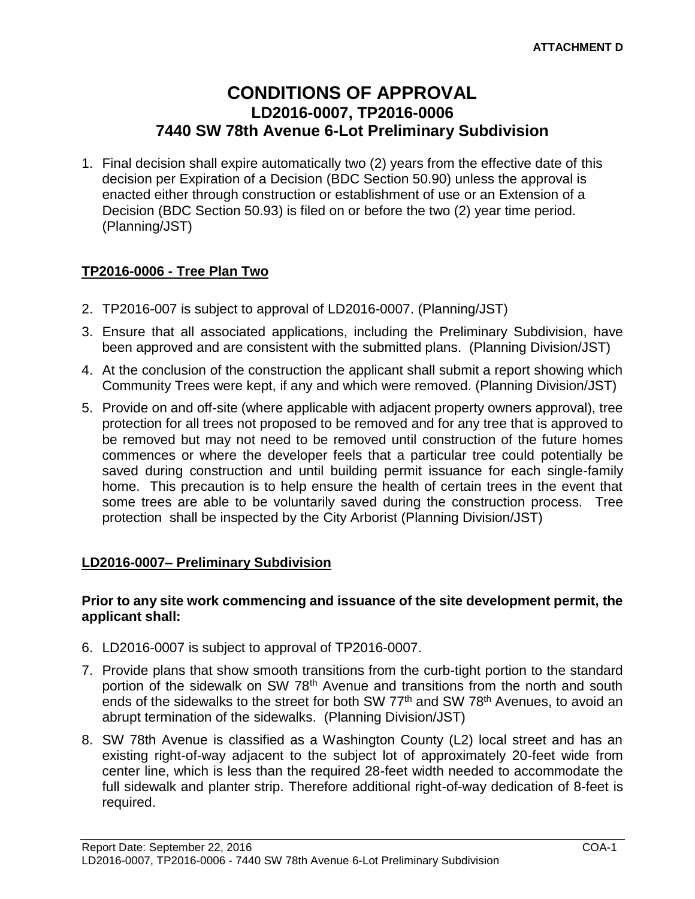# **CONDITIONS OF APPROVAL LD2016-0007, TP2016-0006 7440 SW 78th Avenue 6-Lot Preliminary Subdivision**

1. Final decision shall expire automatically two (2) years from the effective date of this decision per Expiration of a Decision (BDC Section 50.90) unless the approval is enacted either through construction or establishment of use or an Extension of a Decision (BDC Section 50.93) is filed on or before the two (2) year time period. (Planning/JST)

# **TP2016-0006 - Tree Plan Two**

- 2. TP2016-007 is subject to approval of LD2016-0007. (Planning/JST)
- 3. Ensure that all associated applications, including the Preliminary Subdivision, have been approved and are consistent with the submitted plans. (Planning Division/JST)
- 4. At the conclusion of the construction the applicant shall submit a report showing which Community Trees were kept, if any and which were removed. (Planning Division/JST)
- 5. Provide on and off-site (where applicable with adjacent property owners approval), tree protection for all trees not proposed to be removed and for any tree that is approved to be removed but may not need to be removed until construction of the future homes commences or where the developer feels that a particular tree could potentially be saved during construction and until building permit issuance for each single-family home. This precaution is to help ensure the health of certain trees in the event that some trees are able to be voluntarily saved during the construction process. Tree protection shall be inspected by the City Arborist (Planning Division/JST)

### **LD2016-0007– Preliminary Subdivision**

#### **Prior to any site work commencing and issuance of the site development permit, the applicant shall:**

- 6. LD2016-0007 is subject to approval of TP2016-0007.
- 7. Provide plans that show smooth transitions from the curb-tight portion to the standard portion of the sidewalk on SW 78<sup>th</sup> Avenue and transitions from the north and south ends of the sidewalks to the street for both SW 77<sup>th</sup> and SW 78<sup>th</sup> Avenues, to avoid an abrupt termination of the sidewalks. (Planning Division/JST)
- 8. SW 78th Avenue is classified as a Washington County (L2) local street and has an existing right-of-way adjacent to the subject lot of approximately 20-feet wide from center line, which is less than the required 28-feet width needed to accommodate the full sidewalk and planter strip. Therefore additional right-of-way dedication of 8-feet is required.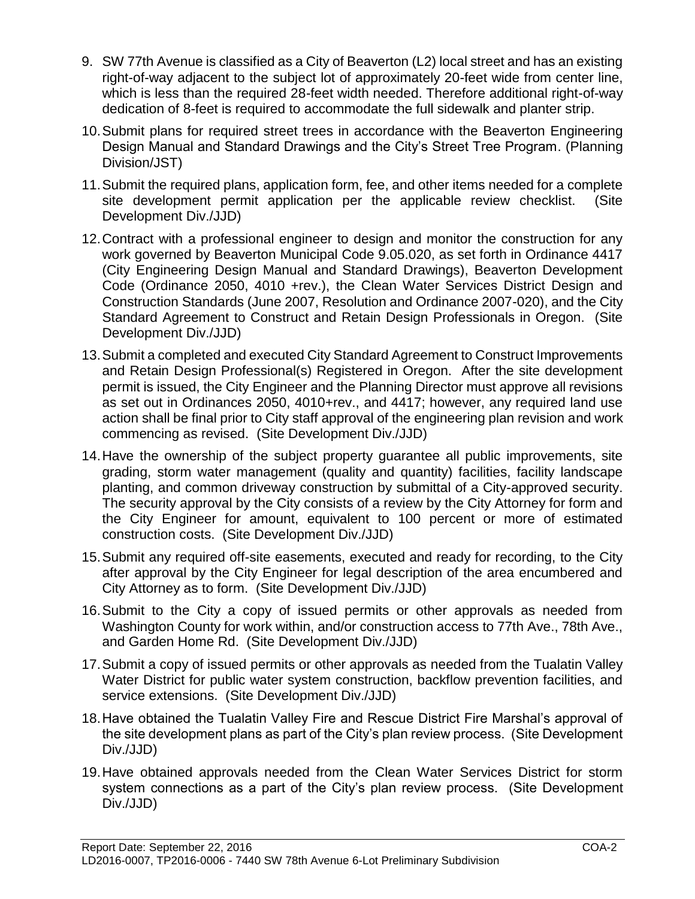- 9. SW 77th Avenue is classified as a City of Beaverton (L2) local street and has an existing right-of-way adjacent to the subject lot of approximately 20-feet wide from center line, which is less than the required 28-feet width needed. Therefore additional right-of-way dedication of 8-feet is required to accommodate the full sidewalk and planter strip.
- 10.Submit plans for required street trees in accordance with the Beaverton Engineering Design Manual and Standard Drawings and the City's Street Tree Program. (Planning Division/JST)
- 11.Submit the required plans, application form, fee, and other items needed for a complete site development permit application per the applicable review checklist. (Site Development Div./JJD)
- 12.Contract with a professional engineer to design and monitor the construction for any work governed by Beaverton Municipal Code 9.05.020, as set forth in Ordinance 4417 (City Engineering Design Manual and Standard Drawings), Beaverton Development Code (Ordinance 2050, 4010 +rev.), the Clean Water Services District Design and Construction Standards (June 2007, Resolution and Ordinance 2007-020), and the City Standard Agreement to Construct and Retain Design Professionals in Oregon. (Site Development Div./JJD)
- 13.Submit a completed and executed City Standard Agreement to Construct Improvements and Retain Design Professional(s) Registered in Oregon. After the site development permit is issued, the City Engineer and the Planning Director must approve all revisions as set out in Ordinances 2050, 4010+rev., and 4417; however, any required land use action shall be final prior to City staff approval of the engineering plan revision and work commencing as revised. (Site Development Div./JJD)
- 14.Have the ownership of the subject property guarantee all public improvements, site grading, storm water management (quality and quantity) facilities, facility landscape planting, and common driveway construction by submittal of a City-approved security. The security approval by the City consists of a review by the City Attorney for form and the City Engineer for amount, equivalent to 100 percent or more of estimated construction costs. (Site Development Div./JJD)
- 15.Submit any required off-site easements, executed and ready for recording, to the City after approval by the City Engineer for legal description of the area encumbered and City Attorney as to form. (Site Development Div./JJD)
- 16.Submit to the City a copy of issued permits or other approvals as needed from Washington County for work within, and/or construction access to 77th Ave., 78th Ave., and Garden Home Rd. (Site Development Div./JJD)
- 17.Submit a copy of issued permits or other approvals as needed from the Tualatin Valley Water District for public water system construction, backflow prevention facilities, and service extensions. (Site Development Div./JJD)
- 18.Have obtained the Tualatin Valley Fire and Rescue District Fire Marshal's approval of the site development plans as part of the City's plan review process. (Site Development Div./JJD)
- 19.Have obtained approvals needed from the Clean Water Services District for storm system connections as a part of the City's plan review process. (Site Development Div./JJD)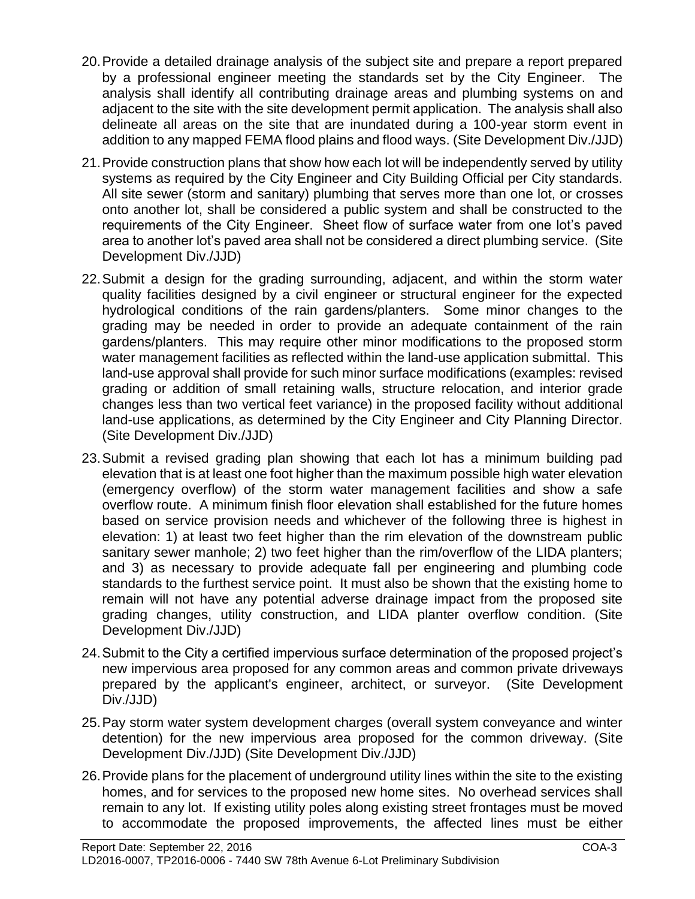- 20.Provide a detailed drainage analysis of the subject site and prepare a report prepared by a professional engineer meeting the standards set by the City Engineer. The analysis shall identify all contributing drainage areas and plumbing systems on and adjacent to the site with the site development permit application. The analysis shall also delineate all areas on the site that are inundated during a 100-year storm event in addition to any mapped FEMA flood plains and flood ways. (Site Development Div./JJD)
- 21.Provide construction plans that show how each lot will be independently served by utility systems as required by the City Engineer and City Building Official per City standards. All site sewer (storm and sanitary) plumbing that serves more than one lot, or crosses onto another lot, shall be considered a public system and shall be constructed to the requirements of the City Engineer. Sheet flow of surface water from one lot's paved area to another lot's paved area shall not be considered a direct plumbing service. (Site Development Div./JJD)
- 22.Submit a design for the grading surrounding, adjacent, and within the storm water quality facilities designed by a civil engineer or structural engineer for the expected hydrological conditions of the rain gardens/planters. Some minor changes to the grading may be needed in order to provide an adequate containment of the rain gardens/planters. This may require other minor modifications to the proposed storm water management facilities as reflected within the land-use application submittal. This land-use approval shall provide for such minor surface modifications (examples: revised grading or addition of small retaining walls, structure relocation, and interior grade changes less than two vertical feet variance) in the proposed facility without additional land-use applications, as determined by the City Engineer and City Planning Director. (Site Development Div./JJD)
- 23.Submit a revised grading plan showing that each lot has a minimum building pad elevation that is at least one foot higher than the maximum possible high water elevation (emergency overflow) of the storm water management facilities and show a safe overflow route. A minimum finish floor elevation shall established for the future homes based on service provision needs and whichever of the following three is highest in elevation: 1) at least two feet higher than the rim elevation of the downstream public sanitary sewer manhole; 2) two feet higher than the rim/overflow of the LIDA planters; and 3) as necessary to provide adequate fall per engineering and plumbing code standards to the furthest service point. It must also be shown that the existing home to remain will not have any potential adverse drainage impact from the proposed site grading changes, utility construction, and LIDA planter overflow condition. (Site Development Div./JJD)
- 24.Submit to the City a certified impervious surface determination of the proposed project's new impervious area proposed for any common areas and common private driveways prepared by the applicant's engineer, architect, or surveyor. (Site Development Div./JJD)
- 25.Pay storm water system development charges (overall system conveyance and winter detention) for the new impervious area proposed for the common driveway. (Site Development Div./JJD) (Site Development Div./JJD)
- 26.Provide plans for the placement of underground utility lines within the site to the existing homes, and for services to the proposed new home sites. No overhead services shall remain to any lot. If existing utility poles along existing street frontages must be moved to accommodate the proposed improvements, the affected lines must be either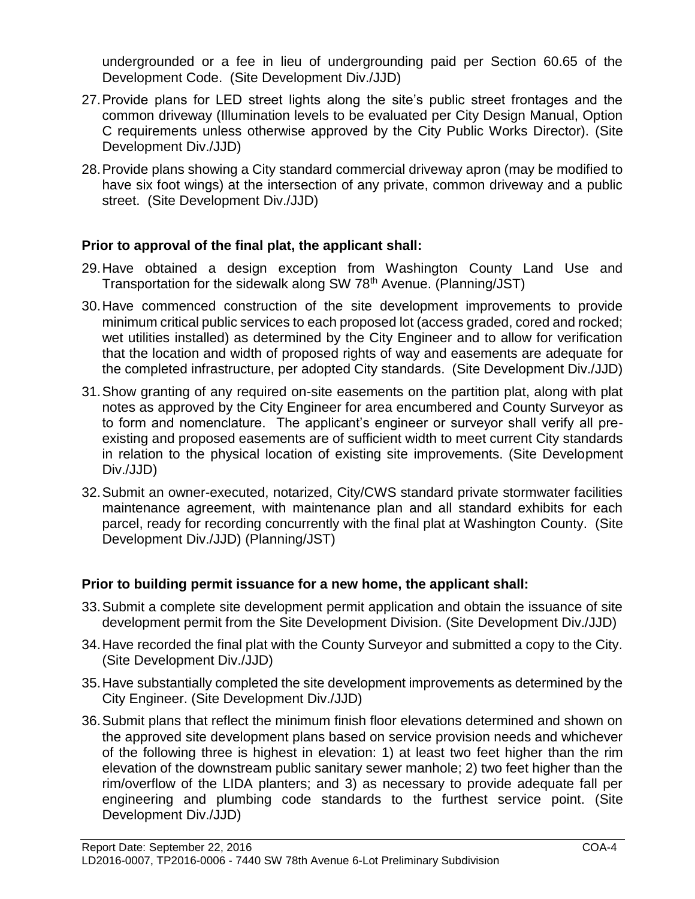undergrounded or a fee in lieu of undergrounding paid per Section 60.65 of the Development Code. (Site Development Div./JJD)

- 27.Provide plans for LED street lights along the site's public street frontages and the common driveway (Illumination levels to be evaluated per City Design Manual, Option C requirements unless otherwise approved by the City Public Works Director). (Site Development Div./JJD)
- 28.Provide plans showing a City standard commercial driveway apron (may be modified to have six foot wings) at the intersection of any private, common driveway and a public street. (Site Development Div./JJD)

# **Prior to approval of the final plat, the applicant shall:**

- 29.Have obtained a design exception from Washington County Land Use and Transportation for the sidewalk along SW 78<sup>th</sup> Avenue. (Planning/JST)
- 30.Have commenced construction of the site development improvements to provide minimum critical public services to each proposed lot (access graded, cored and rocked; wet utilities installed) as determined by the City Engineer and to allow for verification that the location and width of proposed rights of way and easements are adequate for the completed infrastructure, per adopted City standards. (Site Development Div./JJD)
- 31.Show granting of any required on-site easements on the partition plat, along with plat notes as approved by the City Engineer for area encumbered and County Surveyor as to form and nomenclature. The applicant's engineer or surveyor shall verify all preexisting and proposed easements are of sufficient width to meet current City standards in relation to the physical location of existing site improvements. (Site Development Div./JJD)
- 32.Submit an owner-executed, notarized, City/CWS standard private stormwater facilities maintenance agreement, with maintenance plan and all standard exhibits for each parcel, ready for recording concurrently with the final plat at Washington County. (Site Development Div./JJD) (Planning/JST)

# **Prior to building permit issuance for a new home, the applicant shall:**

- 33.Submit a complete site development permit application and obtain the issuance of site development permit from the Site Development Division. (Site Development Div./JJD)
- 34.Have recorded the final plat with the County Surveyor and submitted a copy to the City. (Site Development Div./JJD)
- 35.Have substantially completed the site development improvements as determined by the City Engineer. (Site Development Div./JJD)
- 36.Submit plans that reflect the minimum finish floor elevations determined and shown on the approved site development plans based on service provision needs and whichever of the following three is highest in elevation: 1) at least two feet higher than the rim elevation of the downstream public sanitary sewer manhole; 2) two feet higher than the rim/overflow of the LIDA planters; and 3) as necessary to provide adequate fall per engineering and plumbing code standards to the furthest service point. (Site Development Div./JJD)